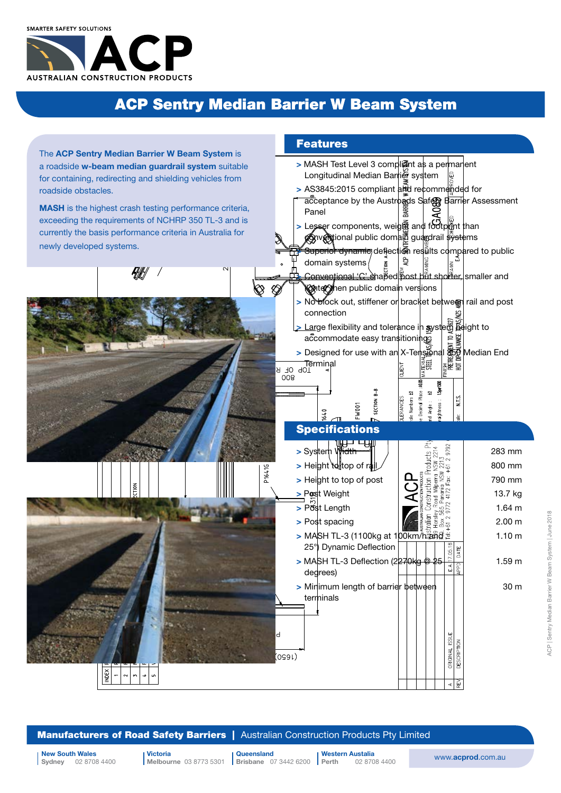## ACP Sentry Median Barrier W Beam System



**Manufacturers of Road Safety Barriers** | Australian Construction Products Pty Limited

Victoria Melbourne 03 8773 5301 **Brisbane** 07 3442 6200 **Perth** 

**Queensland** Western Austalia

02 8708 4400